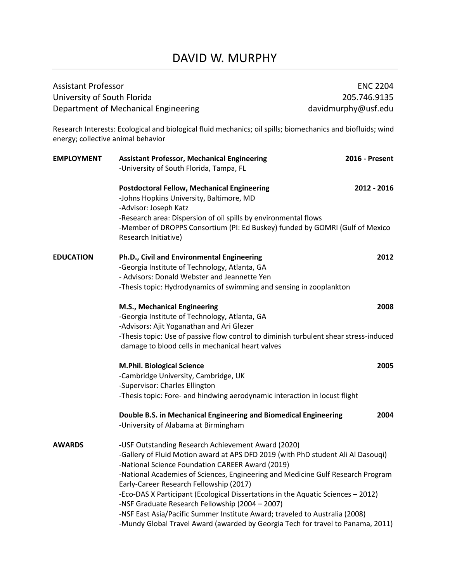## DAVID W. MURPHY

| <b>Assistant Professor</b>           |                                                                                                                                                                                                                                                                                                                                                                                                              | <b>ENC 2204</b>       |  |
|--------------------------------------|--------------------------------------------------------------------------------------------------------------------------------------------------------------------------------------------------------------------------------------------------------------------------------------------------------------------------------------------------------------------------------------------------------------|-----------------------|--|
| University of South Florida          |                                                                                                                                                                                                                                                                                                                                                                                                              | 205.746.9135          |  |
| Department of Mechanical Engineering |                                                                                                                                                                                                                                                                                                                                                                                                              | davidmurphy@usf.edu   |  |
| energy; collective animal behavior   | Research Interests: Ecological and biological fluid mechanics; oil spills; biomechanics and biofluids; wind                                                                                                                                                                                                                                                                                                  |                       |  |
| <b>EMPLOYMENT</b>                    | <b>Assistant Professor, Mechanical Engineering</b><br>-University of South Florida, Tampa, FL                                                                                                                                                                                                                                                                                                                | <b>2016 - Present</b> |  |
|                                      | <b>Postdoctoral Fellow, Mechanical Engineering</b><br>-Johns Hopkins University, Baltimore, MD<br>-Advisor: Joseph Katz                                                                                                                                                                                                                                                                                      | 2012 - 2016           |  |
|                                      | -Research area: Dispersion of oil spills by environmental flows<br>-Member of DROPPS Consortium (PI: Ed Buskey) funded by GOMRI (Gulf of Mexico<br>Research Initiative)                                                                                                                                                                                                                                      |                       |  |
| <b>EDUCATION</b>                     | Ph.D., Civil and Environmental Engineering                                                                                                                                                                                                                                                                                                                                                                   | 2012                  |  |
|                                      | -Georgia Institute of Technology, Atlanta, GA                                                                                                                                                                                                                                                                                                                                                                |                       |  |
|                                      | - Advisors: Donald Webster and Jeannette Yen                                                                                                                                                                                                                                                                                                                                                                 |                       |  |
|                                      | -Thesis topic: Hydrodynamics of swimming and sensing in zooplankton                                                                                                                                                                                                                                                                                                                                          |                       |  |
|                                      | M.S., Mechanical Engineering                                                                                                                                                                                                                                                                                                                                                                                 | 2008                  |  |
|                                      | -Georgia Institute of Technology, Atlanta, GA                                                                                                                                                                                                                                                                                                                                                                |                       |  |
|                                      | -Advisors: Ajit Yoganathan and Ari Glezer                                                                                                                                                                                                                                                                                                                                                                    |                       |  |
|                                      | -Thesis topic: Use of passive flow control to diminish turbulent shear stress-induced<br>damage to blood cells in mechanical heart valves                                                                                                                                                                                                                                                                    |                       |  |
|                                      | <b>M.Phil. Biological Science</b>                                                                                                                                                                                                                                                                                                                                                                            | 2005                  |  |
|                                      | -Cambridge University, Cambridge, UK                                                                                                                                                                                                                                                                                                                                                                         |                       |  |
|                                      | -Supervisor: Charles Ellington                                                                                                                                                                                                                                                                                                                                                                               |                       |  |
|                                      | -Thesis topic: Fore- and hindwing aerodynamic interaction in locust flight                                                                                                                                                                                                                                                                                                                                   |                       |  |
|                                      | Double B.S. in Mechanical Engineering and Biomedical Engineering<br>-University of Alabama at Birmingham                                                                                                                                                                                                                                                                                                     | 2004                  |  |
| <b>AWARDS</b>                        | -USF Outstanding Research Achievement Award (2020)<br>-Gallery of Fluid Motion award at APS DFD 2019 (with PhD student Ali Al Dasouqi)<br>-National Science Foundation CAREER Award (2019)<br>-National Academies of Sciences, Engineering and Medicine Gulf Research Program<br>Early-Career Research Fellowship (2017)<br>-Eco-DAS X Participant (Ecological Dissertations in the Aquatic Sciences - 2012) |                       |  |
|                                      | -NSF Graduate Research Fellowship (2004 - 2007)<br>-NSF East Asia/Pacific Summer Institute Award; traveled to Australia (2008)                                                                                                                                                                                                                                                                               |                       |  |
|                                      | -Mundy Global Travel Award (awarded by Georgia Tech for travel to Panama, 2011)                                                                                                                                                                                                                                                                                                                              |                       |  |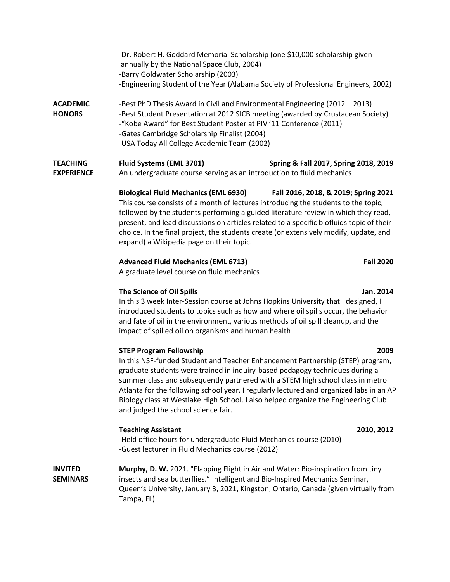|                                      | -Dr. Robert H. Goddard Memorial Scholarship (one \$10,000 scholarship given<br>annually by the National Space Club, 2004)<br>-Barry Goldwater Scholarship (2003)<br>-Engineering Student of the Year (Alabama Society of Professional Engineers, 2002)                                                                                                                                                                                                                                                     |                                       |                  |
|--------------------------------------|------------------------------------------------------------------------------------------------------------------------------------------------------------------------------------------------------------------------------------------------------------------------------------------------------------------------------------------------------------------------------------------------------------------------------------------------------------------------------------------------------------|---------------------------------------|------------------|
| <b>ACADEMIC</b><br><b>HONORS</b>     | -Best PhD Thesis Award in Civil and Environmental Engineering (2012 - 2013)<br>-Best Student Presentation at 2012 SICB meeting (awarded by Crustacean Society)<br>-"Kobe Award" for Best Student Poster at PIV '11 Conference (2011)<br>-Gates Cambridge Scholarship Finalist (2004)<br>-USA Today All College Academic Team (2002)                                                                                                                                                                        |                                       |                  |
| <b>TEACHING</b><br><b>EXPERIENCE</b> | Fluid Systems (EML 3701)<br>An undergraduate course serving as an introduction to fluid mechanics                                                                                                                                                                                                                                                                                                                                                                                                          | Spring & Fall 2017, Spring 2018, 2019 |                  |
|                                      | <b>Biological Fluid Mechanics (EML 6930)</b><br>This course consists of a month of lectures introducing the students to the topic,<br>followed by the students performing a guided literature review in which they read,<br>present, and lead discussions on articles related to a specific biofluids topic of their<br>choice. In the final project, the students create (or extensively modify, update, and<br>expand) a Wikipedia page on their topic.                                                  | Fall 2016, 2018, & 2019; Spring 2021  |                  |
|                                      | <b>Advanced Fluid Mechanics (EML 6713)</b><br>A graduate level course on fluid mechanics                                                                                                                                                                                                                                                                                                                                                                                                                   |                                       | <b>Fall 2020</b> |
|                                      | The Science of Oil Spills<br>In this 3 week Inter-Session course at Johns Hopkins University that I designed, I<br>introduced students to topics such as how and where oil spills occur, the behavior<br>and fate of oil in the environment, various methods of oil spill cleanup, and the<br>impact of spilled oil on organisms and human health                                                                                                                                                          |                                       | Jan. 2014        |
|                                      | <b>STEP Program Fellowship</b><br>In this NSF-funded Student and Teacher Enhancement Partnership (STEP) program,<br>graduate students were trained in inquiry-based pedagogy techniques during a<br>summer class and subsequently partnered with a STEM high school class in metro<br>Atlanta for the following school year. I regularly lectured and organized labs in an AP<br>Biology class at Westlake High School. I also helped organize the Engineering Club<br>and judged the school science fair. |                                       | 2009             |
|                                      | <b>Teaching Assistant</b><br>-Held office hours for undergraduate Fluid Mechanics course (2010)<br>-Guest lecturer in Fluid Mechanics course (2012)                                                                                                                                                                                                                                                                                                                                                        |                                       | 2010, 2012       |
| <b>INVITED</b><br><b>SEMINARS</b>    | Murphy, D. W. 2021. "Flapping Flight in Air and Water: Bio-inspiration from tiny<br>insects and sea butterflies." Intelligent and Bio-Inspired Mechanics Seminar,<br>Queen's University, January 3, 2021, Kingston, Ontario, Canada (given virtually from<br>Tampa, FL).                                                                                                                                                                                                                                   |                                       |                  |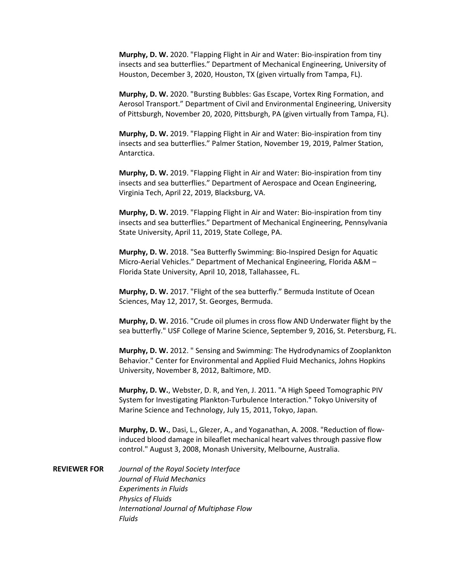**Murphy, D. W.** 2020. "Flapping Flight in Air and Water: Bio-inspiration from tiny insects and sea butterflies." Department of Mechanical Engineering, University of Houston, December 3, 2020, Houston, TX (given virtually from Tampa, FL).

**Murphy, D. W.** 2020. "Bursting Bubbles: Gas Escape, Vortex Ring Formation, and Aerosol Transport." Department of Civil and Environmental Engineering, University of Pittsburgh, November 20, 2020, Pittsburgh, PA (given virtually from Tampa, FL).

**Murphy, D. W.** 2019. "Flapping Flight in Air and Water: Bio-inspiration from tiny insects and sea butterflies." Palmer Station, November 19, 2019, Palmer Station, Antarctica.

**Murphy, D. W.** 2019. "Flapping Flight in Air and Water: Bio-inspiration from tiny insects and sea butterflies." Department of Aerospace and Ocean Engineering, Virginia Tech, April 22, 2019, Blacksburg, VA.

**Murphy, D. W.** 2019. "Flapping Flight in Air and Water: Bio-inspiration from tiny insects and sea butterflies." Department of Mechanical Engineering, Pennsylvania State University, April 11, 2019, State College, PA.

**Murphy, D. W.** 2018. "Sea Butterfly Swimming: Bio-Inspired Design for Aquatic Micro-Aerial Vehicles." Department of Mechanical Engineering, Florida A&M – Florida State University, April 10, 2018, Tallahassee, FL.

**Murphy, D. W.** 2017. "Flight of the sea butterfly." Bermuda Institute of Ocean Sciences, May 12, 2017, St. Georges, Bermuda.

**Murphy, D. W.** 2016. "Crude oil plumes in cross flow AND Underwater flight by the sea butterfly." USF College of Marine Science, September 9, 2016, St. Petersburg, FL.

**Murphy, D. W.** 2012. " Sensing and Swimming: The Hydrodynamics of Zooplankton Behavior." Center for Environmental and Applied Fluid Mechanics, Johns Hopkins University, November 8, 2012, Baltimore, MD.

**Murphy, D. W.**, Webster, D. R, and Yen, J. 2011. "A High Speed Tomographic PIV System for Investigating Plankton-Turbulence Interaction." Tokyo University of Marine Science and Technology, July 15, 2011, Tokyo, Japan.

**Murphy, D. W.**, Dasi, L., Glezer, A., and Yoganathan, A. 2008. "Reduction of flowinduced blood damage in bileaflet mechanical heart valves through passive flow control." August 3, 2008, Monash University, Melbourne, Australia.

**REVIEWER FOR** *Journal of the Royal Society Interface Journal of Fluid Mechanics Experiments in Fluids Physics of Fluids International Journal of Multiphase Flow Fluids*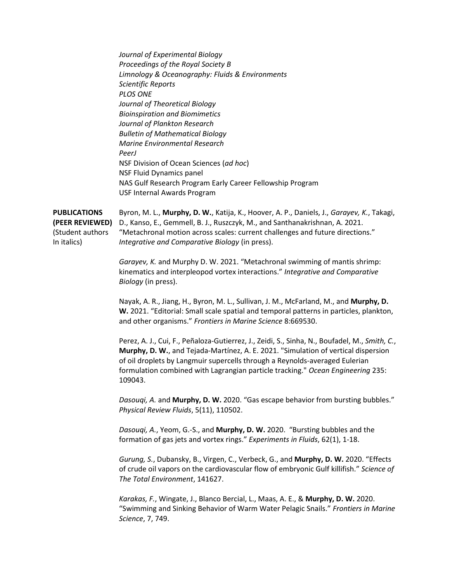*Journal of Experimental Biology Proceedings of the Royal Society B Limnology & Oceanography: Fluids & Environments Scientific Reports PLOS ONE Journal of Theoretical Biology Bioinspiration and Biomimetics Journal of Plankton Research Bulletin of Mathematical Biology Marine Environmental Research PeerJ* NSF Division of Ocean Sciences (*ad hoc*) NSF Fluid Dynamics panel NAS Gulf Research Program Early Career Fellowship Program USF Internal Awards Program **PUBLICATIONS** Byron, M. L., **Murphy, D. W.**, Katija, K., Hoover, A. P., Daniels, J., *Garayev, K.*, Takagi, **(PEER REVIEWED)** D., Kanso, E., Gemmell, B. J., Ruszczyk, M., and Santhanakrishnan, A. 2021. (Student authors "Metachronal motion across scales: current challenges and future directions." In italics) *Integrative and Comparative Biology* (in press). *Garayev, K.* and Murphy D. W. 2021. "Metachronal swimming of mantis shrimp: kinematics and interpleopod vortex interactions." *Integrative and Comparative Biology* (in press). Nayak, A. R., Jiang, H., Byron, M. L., Sullivan, J. M., McFarland, M., and **Murphy, D. W.** 2021. "Editorial: Small scale spatial and temporal patterns in particles, plankton, and other organisms." *Frontiers in Marine Science* 8:669530. Perez, A. J., Cui, F., Peñaloza-Gutierrez, J., Zeidi, S., Sinha, N., Boufadel, M., *Smith, C.*, **Murphy, D. W.**, and Tejada-Martínez, A. E. 2021. "Simulation of vertical dispersion of oil droplets by Langmuir supercells through a Reynolds-averaged Eulerian formulation combined with Lagrangian particle tracking." *Ocean Engineering* 235: 109043. *Dasouqi, A.* and **Murphy, D. W.** 2020. "Gas escape behavior from bursting bubbles." *Physical Review Fluids*, 5(11), 110502. *Dasouqi, A.*, Yeom, G.-S., and **Murphy, D. W.** 2020. "Bursting bubbles and the formation of gas jets and vortex rings." *Experiments in Fluids*, 62(1), 1-18. *Gurung, S.*, Dubansky, B., Virgen, C., Verbeck, G., and **Murphy, D. W.** 2020. "Effects of crude oil vapors on the cardiovascular flow of embryonic Gulf killifish." *Science of The Total Environment*, 141627. *Karakas, F.*, Wingate, J., Blanco Bercial, L., Maas, A. E., & **Murphy, D. W.** 2020. "Swimming and Sinking Behavior of Warm Water Pelagic Snails." *Frontiers in Marine Science*, 7, 749.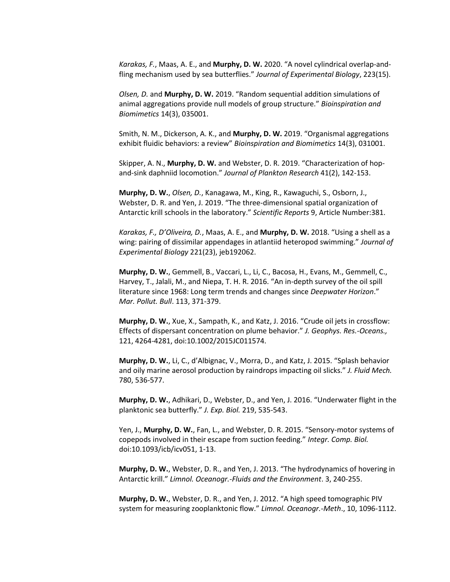*Karakas, F.*, Maas, A. E., and **Murphy, D. W.** 2020. "A novel cylindrical overlap-andfling mechanism used by sea butterflies." *Journal of Experimental Biology*, 223(15).

*Olsen, D.* and **Murphy, D. W.** 2019. "Random sequential addition simulations of animal aggregations provide null models of group structure." *Bioinspiration and Biomimetics* 14(3), 035001.

Smith, N. M., Dickerson, A. K., and **Murphy, D. W.** 2019. "Organismal aggregations exhibit fluidic behaviors: a review" *Bioinspiration and Biomimetics* 14(3), 031001.

Skipper, A. N., **Murphy, D. W.** and Webster, D. R. 2019. "Characterization of hopand-sink daphniid locomotion." *Journal of Plankton Research* 41(2), 142-153.

**Murphy, D. W.**, *Olsen, D.*, Kanagawa, M., King, R., Kawaguchi, S., Osborn, J., Webster, D. R. and Yen, J. 2019. "The three-dimensional spatial organization of Antarctic krill schools in the laboratory." *Scientific Reports* 9, Article Number:381.

*Karakas, F., D'Oliveira, D.*, Maas, A. E., and **Murphy, D. W.** 2018. "Using a shell as a wing: pairing of dissimilar appendages in atlantiid heteropod swimming." *Journal of Experimental Biology* 221(23), jeb192062.

**Murphy, D. W.**, Gemmell, B., Vaccari, L., Li, C., Bacosa, H., Evans, M., Gemmell, C., Harvey, T., Jalali, M., and Niepa, T. H. R. 2016. "An in-depth survey of the oil spill literature since 1968: Long term trends and changes since *Deepwater Horizon*." *Mar. Pollut. Bull*. 113, 371-379.

**Murphy, D. W.**, Xue, X., Sampath, K., and Katz, J. 2016. "Crude oil jets in crossflow: Effects of dispersant concentration on plume behavior." *J. Geophys. Res.-Oceans.,*  121, 4264-4281, doi:10.1002/2015JC011574.

**Murphy, D. W.**, Li, C., d'Albignac, V., Morra, D., and Katz, J. 2015. "Splash behavior and oily marine aerosol production by raindrops impacting oil slicks." *J. Fluid Mech.* 780, 536-577.

**Murphy, D. W.**, Adhikari, D., Webster, D., and Yen, J. 2016. "Underwater flight in the planktonic sea butterfly." *J. Exp. Biol.* 219, 535-543.

Yen, J., **Murphy, D. W.**, Fan, L., and Webster, D. R. 2015. "Sensory-motor systems of copepods involved in their escape from suction feeding." *Integr. Comp. Biol.* doi:10.1093/icb/icv051, 1-13.

**Murphy, D. W.**, Webster, D. R., and Yen, J. 2013. "The hydrodynamics of hovering in Antarctic krill." *Limnol. Oceanogr.-Fluids and the Environment*. 3, 240-255.

**Murphy, D. W.**, Webster, D. R., and Yen, J. 2012. "A high speed tomographic PIV system for measuring zooplanktonic flow." *Limnol. Oceanogr.-Meth*., 10, 1096-1112.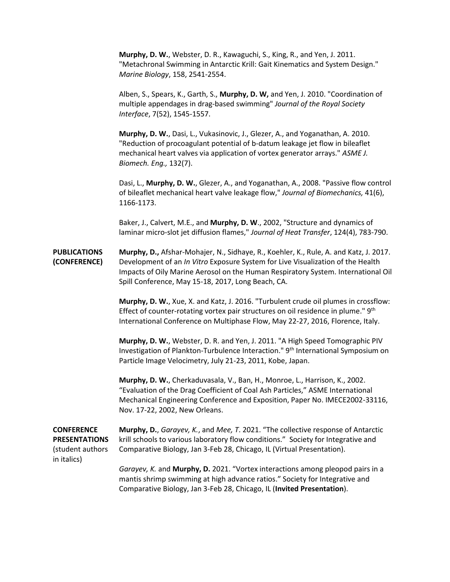**Murphy, D. W.**, Webster, D. R., Kawaguchi, S., King, R., and Yen, J. 2011. "Metachronal Swimming in Antarctic Krill: Gait Kinematics and System Design." *Marine Biology*, 158, 2541-2554.

Alben, S., Spears, K., Garth, S., **Murphy, D. W,** and Yen, J. 2010. "Coordination of multiple appendages in drag-based swimming" *Journal of the Royal Society Interface*, 7(52), 1545-1557.

**Murphy, D. W.**, Dasi, L., Vukasinovic, J., Glezer, A., and Yoganathan, A. 2010. "Reduction of procoagulant potential of b-datum leakage jet flow in bileaflet mechanical heart valves via application of vortex generator arrays." *ASME J. Biomech. Eng.,* 132(7).

Dasi, L., **Murphy, D. W.**, Glezer, A., and Yoganathan, A., 2008. "Passive flow control of bileaflet mechanical heart valve leakage flow," *Journal of Biomechanics,* 41(6), 1166-1173.

Baker, J., Calvert, M.E., and **Murphy, D. W**., 2002, "Structure and dynamics of laminar micro-slot jet diffusion flames," *Journal of Heat Transfer*, 124(4), 783-790.

**PUBLICATIONS Murphy, D.,** Afshar-Mohajer, N., Sidhaye, R., Koehler, K., Rule, A. and Katz, J. 2017. **(CONFERENCE)** Development of an *In Vitro* Exposure System for Live Visualization of the Health Impacts of Oily Marine Aerosol on the Human Respiratory System. International Oil Spill Conference, May 15-18, 2017, Long Beach, CA.

> **Murphy, D. W.**, Xue, X. and Katz, J. 2016. "Turbulent crude oil plumes in crossflow: Effect of counter-rotating vortex pair structures on oil residence in plume." 9<sup>th</sup> International Conference on Multiphase Flow, May 22-27, 2016, Florence, Italy.

> **Murphy, D. W.**, Webster, D. R. and Yen, J. 2011. "A High Speed Tomographic PIV Investigation of Plankton-Turbulence Interaction." 9th International Symposium on Particle Image Velocimetry, July 21-23, 2011, Kobe, Japan.

> **Murphy, D. W.**, Cherkaduvasala, V., Ban, H., Monroe, L., Harrison, K., 2002. "Evaluation of the Drag Coefficient of Coal Ash Particles," ASME International Mechanical Engineering Conference and Exposition, Paper No. IMECE2002-33116, Nov. 17-22, 2002, New Orleans.

## in italics)

**CONFERENCE Murphy, D.**, *Garayev, K.*, and *Mee, T*. 2021. "The collective response of Antarctic **PRESENTATIONS** krill schools to various laboratory flow conditions." Society for Integrative and (student authors Comparative Biology, Jan 3-Feb 28, Chicago, IL (Virtual Presentation).

> *Garayev, K.* and **Murphy, D.** 2021. "Vortex interactions among pleopod pairs in a mantis shrimp swimming at high advance ratios." Society for Integrative and Comparative Biology, Jan 3-Feb 28, Chicago, IL (**Invited Presentation**).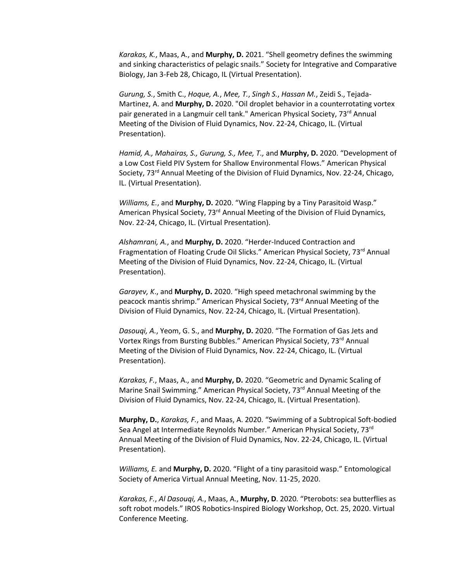*Karakas, K.*, Maas, A., and **Murphy, D.** 2021. "Shell geometry defines the swimming and sinking characteristics of pelagic snails." Society for Integrative and Comparative Biology, Jan 3-Feb 28, Chicago, IL (Virtual Presentation).

*Gurung, S.*, Smith C., *Hoque, A.*, *Mee, T.*, *Singh S.*, *Hassan M.*, Zeidi S., Tejada-Martinez, A. and **Murphy, D.** 2020. "Oil droplet behavior in a counterrotating vortex pair generated in a Langmuir cell tank." American Physical Society, 73<sup>rd</sup> Annual Meeting of the Division of Fluid Dynamics, Nov. 22-24, Chicago, IL. (Virtual Presentation).

*Hamid, A., Mahairas, S., Gurung, S., Mee, T.,* and **Murphy, D.** 2020. "Development of a Low Cost Field PIV System for Shallow Environmental Flows." American Physical Society, 73rd Annual Meeting of the Division of Fluid Dynamics, Nov. 22-24, Chicago, IL. (Virtual Presentation).

*Williams, E.*, and **Murphy, D.** 2020. "Wing Flapping by a Tiny Parasitoid Wasp." American Physical Society, 73<sup>rd</sup> Annual Meeting of the Division of Fluid Dynamics, Nov. 22-24, Chicago, IL. (Virtual Presentation).

*Alshamrani, A.*, and **Murphy, D.** 2020. "Herder-Induced Contraction and Fragmentation of Floating Crude Oil Slicks." American Physical Society, 73rd Annual Meeting of the Division of Fluid Dynamics, Nov. 22-24, Chicago, IL. (Virtual Presentation).

*Garayev, K*., and **Murphy, D.** 2020. "High speed metachronal swimming by the peacock mantis shrimp." American Physical Society, 73<sup>rd</sup> Annual Meeting of the Division of Fluid Dynamics, Nov. 22-24, Chicago, IL. (Virtual Presentation).

*Dasouqi, A.*, Yeom, G. S., and **Murphy, D.** 2020. "The Formation of Gas Jets and Vortex Rings from Bursting Bubbles." American Physical Society, 73rd Annual Meeting of the Division of Fluid Dynamics, Nov. 22-24, Chicago, IL. (Virtual Presentation).

*Karakas, F.*, Maas, A., and **Murphy, D.** 2020. "Geometric and Dynamic Scaling of Marine Snail Swimming." American Physical Society, 73<sup>rd</sup> Annual Meeting of the Division of Fluid Dynamics, Nov. 22-24, Chicago, IL. (Virtual Presentation).

**Murphy, D.**, *Karakas, F.*, and Maas, A. 2020. "Swimming of a Subtropical Soft-bodied Sea Angel at Intermediate Reynolds Number." American Physical Society, 73rd Annual Meeting of the Division of Fluid Dynamics, Nov. 22-24, Chicago, IL. (Virtual Presentation).

*Williams, E.* and **Murphy, D.** 2020. "Flight of a tiny parasitoid wasp." Entomological Society of America Virtual Annual Meeting, Nov. 11-25, 2020.

*Karakas, F.*, *Al Dasouqi, A.*, Maas, A., **Murphy, D**. 2020. "Pterobots: sea butterflies as soft robot models." IROS Robotics-Inspired Biology Workshop, Oct. 25, 2020. Virtual Conference Meeting.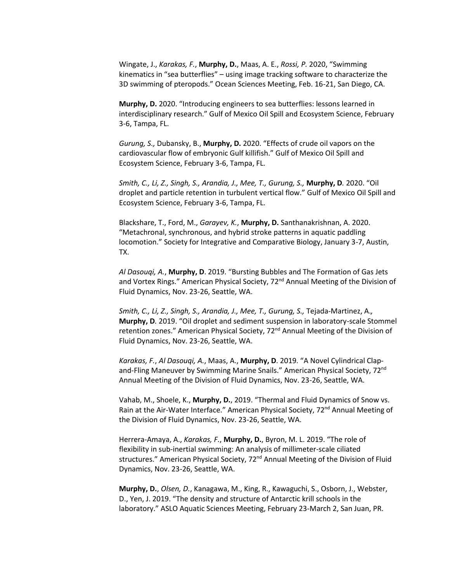Wingate, J., *Karakas, F.*, **Murphy, D.**, Maas, A. E., *Rossi, P.* 2020, "Swimming kinematics in "sea butterflies" – using image tracking software to characterize the 3D swimming of pteropods." Ocean Sciences Meeting, Feb. 16-21, San Diego, CA.

**Murphy, D.** 2020. "Introducing engineers to sea butterflies: lessons learned in interdisciplinary research." Gulf of Mexico Oil Spill and Ecosystem Science, February 3-6, Tampa, FL.

*Gurung, S.,* Dubansky, B., **Murphy, D.** 2020. "Effects of crude oil vapors on the cardiovascular flow of embryonic Gulf killifish." Gulf of Mexico Oil Spill and Ecosystem Science, February 3-6, Tampa, FL.

*Smith, C., Li, Z., Singh, S., Arandia, J., Mee, T., Gurung, S.,* **Murphy, D***.* 2020. "Oil droplet and particle retention in turbulent vertical flow." Gulf of Mexico Oil Spill and Ecosystem Science, February 3-6, Tampa, FL.

Blackshare, T., Ford, M., *Garayev, K.*, **Murphy, D.** Santhanakrishnan, A. 2020. "Metachronal, synchronous, and hybrid stroke patterns in aquatic paddling locomotion." Society for Integrative and Comparative Biology, January 3-7, Austin, TX.

*Al Dasouqi, A.*, **Murphy, D**. 2019. "Bursting Bubbles and The Formation of Gas Jets and Vortex Rings." American Physical Society, 72<sup>nd</sup> Annual Meeting of the Division of Fluid Dynamics, Nov. 23-26, Seattle, WA.

*Smith, C., Li, Z., Singh, S., Arandia, J., Mee, T., Gurung, S.,* Tejada-Martinez, A.*,*  **Murphy, D***.* 2019. "Oil droplet and sediment suspension in laboratory-scale Stommel retention zones." American Physical Society, 72<sup>nd</sup> Annual Meeting of the Division of Fluid Dynamics, Nov. 23-26, Seattle, WA.

*Karakas, F.*, *Al Dasouqi, A.*, Maas, A., **Murphy, D**. 2019. "A Novel Cylindrical Clapand-Fling Maneuver by Swimming Marine Snails." American Physical Society, 72nd Annual Meeting of the Division of Fluid Dynamics, Nov. 23-26, Seattle, WA.

Vahab, M., Shoele, K., **Murphy, D.**, 2019. "Thermal and Fluid Dynamics of Snow vs. Rain at the Air-Water Interface." American Physical Society, 72<sup>nd</sup> Annual Meeting of the Division of Fluid Dynamics, Nov. 23-26, Seattle, WA.

Herrera-Amaya, A., *Karakas, F.*, **Murphy, D.**, Byron, M. L. 2019. "The role of flexibility in sub-inertial swimming: An analysis of millimeter-scale ciliated structures." American Physical Society, 72<sup>nd</sup> Annual Meeting of the Division of Fluid Dynamics, Nov. 23-26, Seattle, WA.

**Murphy, D.**, *Olsen, D.*, Kanagawa, M., King, R., Kawaguchi, S., Osborn, J., Webster, D., Yen, J. 2019. "The density and structure of Antarctic krill schools in the laboratory." ASLO Aquatic Sciences Meeting, February 23-March 2, San Juan, PR.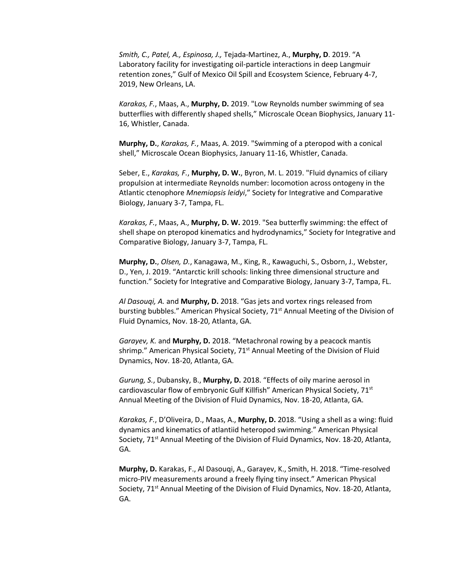*Smith, C., Patel, A., Espinosa, J.,* Tejada-Martinez, A., **Murphy, D**. 2019. "A Laboratory facility for investigating oil-particle interactions in deep Langmuir retention zones," Gulf of Mexico Oil Spill and Ecosystem Science, February 4-7, 2019, New Orleans, LA.

*Karakas, F.*, Maas, A., **Murphy, D.** 2019. "Low Reynolds number swimming of sea butterflies with differently shaped shells," Microscale Ocean Biophysics, January 11- 16, Whistler, Canada.

**Murphy, D.**, *Karakas, F.*, Maas, A. 2019. "Swimming of a pteropod with a conical shell," Microscale Ocean Biophysics, January 11-16, Whistler, Canada.

Seber, E., *Karakas, F.*, **Murphy, D. W.**, Byron, M. L. 2019. "Fluid dynamics of ciliary propulsion at intermediate Reynolds number: locomotion across ontogeny in the Atlantic ctenophore *Mnemiopsis leidyi*," Society for Integrative and Comparative Biology, January 3-7, Tampa, FL.

*Karakas, F.*, Maas, A., **Murphy, D. W.** 2019. "Sea butterfly swimming: the effect of shell shape on pteropod kinematics and hydrodynamics," Society for Integrative and Comparative Biology, January 3-7, Tampa, FL.

**Murphy, D.**, *Olsen, D.*, Kanagawa, M., King, R., Kawaguchi, S., Osborn, J., Webster, D., Yen, J. 2019. "Antarctic krill schools: linking three dimensional structure and function." Society for Integrative and Comparative Biology, January 3-7, Tampa, FL.

*Al Dasouqi, A.* and **Murphy, D.** 2018. "Gas jets and vortex rings released from bursting bubbles." American Physical Society, 71<sup>st</sup> Annual Meeting of the Division of Fluid Dynamics, Nov. 18-20, Atlanta, GA.

*Garayev, K.* and **Murphy, D.** 2018. "Metachronal rowing by a peacock mantis shrimp." American Physical Society, 71<sup>st</sup> Annual Meeting of the Division of Fluid Dynamics, Nov. 18-20, Atlanta, GA.

*Gurung, S.*, Dubansky, B., **Murphy, D.** 2018. "Effects of oily marine aerosol in cardiovascular flow of embryonic Gulf Killfish" American Physical Society, 71<sup>st</sup> Annual Meeting of the Division of Fluid Dynamics, Nov. 18-20, Atlanta, GA.

*Karakas, F.*, D'Oliveira, D., Maas, A., **Murphy, D.** 2018. "Using a shell as a wing: fluid dynamics and kinematics of atlantiid heteropod swimming." American Physical Society, 71<sup>st</sup> Annual Meeting of the Division of Fluid Dynamics, Nov. 18-20, Atlanta, GA.

**Murphy, D.** Karakas, F., Al Dasouqi, A., Garayev, K., Smith, H. 2018. "Time-resolved micro-PIV measurements around a freely flying tiny insect." American Physical Society, 71<sup>st</sup> Annual Meeting of the Division of Fluid Dynamics, Nov. 18-20, Atlanta, GA.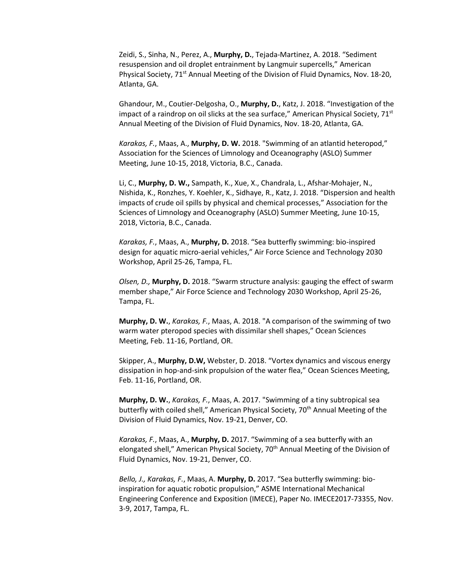Zeidi, S., Sinha, N., Perez, A., **Murphy, D.**, Tejada-Martinez, A. 2018. "Sediment resuspension and oil droplet entrainment by Langmuir supercells," American Physical Society, 71<sup>st</sup> Annual Meeting of the Division of Fluid Dynamics, Nov. 18-20, Atlanta, GA.

Ghandour, M., Coutier-Delgosha, O., **Murphy, D.**, Katz, J. 2018. "Investigation of the impact of a raindrop on oil slicks at the sea surface," American Physical Society,  $71<sup>st</sup>$ Annual Meeting of the Division of Fluid Dynamics, Nov. 18-20, Atlanta, GA.

*Karakas, F.*, Maas, A., **Murphy, D. W.** 2018. "Swimming of an atlantid heteropod," Association for the Sciences of Limnology and Oceanography (ASLO) Summer Meeting, June 10-15, 2018, Victoria, B.C., Canada.

Li, C., **Murphy, D. W.,** Sampath, K., Xue, X., Chandrala, L., Afshar-Mohajer, N., Nishida, K., Ronzhes, Y. Koehler, K., Sidhaye, R., Katz, J. 2018. "Dispersion and health impacts of crude oil spills by physical and chemical processes," Association for the Sciences of Limnology and Oceanography (ASLO) Summer Meeting, June 10-15, 2018, Victoria, B.C., Canada.

*Karakas, F.*, Maas, A., **Murphy, D.** 2018. "Sea butterfly swimming: bio-inspired design for aquatic micro-aerial vehicles," Air Force Science and Technology 2030 Workshop, April 25-26, Tampa, FL.

*Olsen, D.,* **Murphy, D.** 2018. "Swarm structure analysis: gauging the effect of swarm member shape," Air Force Science and Technology 2030 Workshop, April 25-26, Tampa, FL.

**Murphy, D. W.**, *Karakas, F.*, Maas, A. 2018. "A comparison of the swimming of two warm water pteropod species with dissimilar shell shapes," Ocean Sciences Meeting, Feb. 11-16, Portland, OR.

Skipper, A., **Murphy, D.W,** Webster, D. 2018. "Vortex dynamics and viscous energy dissipation in hop-and-sink propulsion of the water flea," Ocean Sciences Meeting, Feb. 11-16, Portland, OR.

**Murphy, D. W.**, *Karakas, F.*, Maas, A. 2017. "Swimming of a tiny subtropical sea butterfly with coiled shell," American Physical Society, 70<sup>th</sup> Annual Meeting of the Division of Fluid Dynamics, Nov. 19-21, Denver, CO.

*Karakas, F.*, Maas, A., **Murphy, D.** 2017. "Swimming of a sea butterfly with an elongated shell," American Physical Society, 70<sup>th</sup> Annual Meeting of the Division of Fluid Dynamics, Nov. 19-21, Denver, CO.

*Bello, J., Karakas, F.*, Maas, A. **Murphy, D.** 2017. "Sea butterfly swimming: bioinspiration for aquatic robotic propulsion," ASME International Mechanical Engineering Conference and Exposition (IMECE), Paper No. IMECE2017-73355, Nov. 3-9, 2017, Tampa, FL.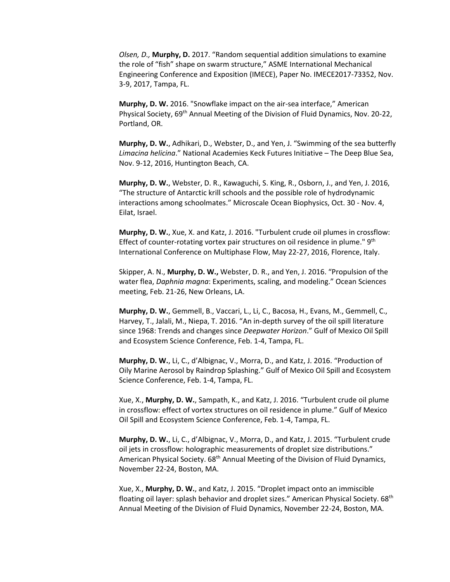*Olsen, D.,* **Murphy, D.** 2017. "Random sequential addition simulations to examine the role of "fish" shape on swarm structure," ASME International Mechanical Engineering Conference and Exposition (IMECE), Paper No. IMECE2017-73352, Nov. 3-9, 2017, Tampa, FL.

**Murphy, D. W.** 2016. "Snowflake impact on the air-sea interface," American Physical Society, 69<sup>th</sup> Annual Meeting of the Division of Fluid Dynamics, Nov. 20-22, Portland, OR.

**Murphy, D. W.**, Adhikari, D., Webster, D., and Yen, J. "Swimming of the sea butterfly *Limacina helicina*." National Academies Keck Futures Initiative – The Deep Blue Sea, Nov. 9-12, 2016, Huntington Beach, CA.

**Murphy, D. W.**, Webster, D. R., Kawaguchi, S. King, R., Osborn, J., and Yen, J. 2016, "The structure of Antarctic krill schools and the possible role of hydrodynamic interactions among schoolmates." Microscale Ocean Biophysics, Oct. 30 - Nov. 4, Eilat, Israel.

**Murphy, D. W.**, Xue, X. and Katz, J. 2016. "Turbulent crude oil plumes in crossflow: Effect of counter-rotating vortex pair structures on oil residence in plume."  $9<sup>th</sup>$ International Conference on Multiphase Flow, May 22-27, 2016, Florence, Italy.

Skipper, A. N., **Murphy, D. W.,** Webster, D. R., and Yen, J. 2016. "Propulsion of the water flea, *Daphnia magna*: Experiments, scaling, and modeling." Ocean Sciences meeting, Feb. 21-26, New Orleans, LA.

**Murphy, D. W.**, Gemmell, B., Vaccari, L., Li, C., Bacosa, H., Evans, M., Gemmell, C., Harvey, T., Jalali, M., Niepa, T. 2016. "An in-depth survey of the oil spill literature since 1968: Trends and changes since *Deepwater Horizon*." Gulf of Mexico Oil Spill and Ecosystem Science Conference, Feb. 1-4, Tampa, FL.

**Murphy, D. W.**, Li, C., d'Albignac, V., Morra, D., and Katz, J. 2016. "Production of Oily Marine Aerosol by Raindrop Splashing." Gulf of Mexico Oil Spill and Ecosystem Science Conference, Feb. 1-4, Tampa, FL.

Xue, X., **Murphy, D. W.**, Sampath, K., and Katz, J. 2016. "Turbulent crude oil plume in crossflow: effect of vortex structures on oil residence in plume." Gulf of Mexico Oil Spill and Ecosystem Science Conference, Feb. 1-4, Tampa, FL.

**Murphy, D. W.**, Li, C., d'Albignac, V., Morra, D., and Katz, J. 2015. "Turbulent crude oil jets in crossflow: holographic measurements of droplet size distributions." American Physical Society. 68<sup>th</sup> Annual Meeting of the Division of Fluid Dynamics, November 22-24, Boston, MA.

Xue, X., **Murphy, D. W.**, and Katz, J. 2015. "Droplet impact onto an immiscible floating oil layer: splash behavior and droplet sizes." American Physical Society. 68<sup>th</sup> Annual Meeting of the Division of Fluid Dynamics, November 22-24, Boston, MA.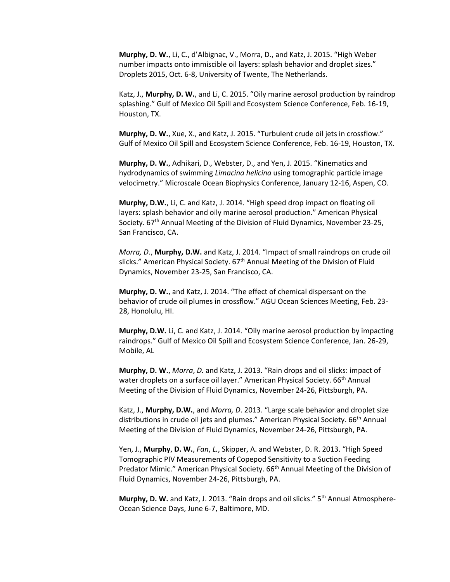**Murphy, D. W.**, Li, C., d'Albignac, V., Morra, D., and Katz, J. 2015. "High Weber number impacts onto immiscible oil layers: splash behavior and droplet sizes." Droplets 2015, Oct. 6-8, University of Twente, The Netherlands.

Katz, J., **Murphy, D. W.**, and Li, C. 2015. "Oily marine aerosol production by raindrop splashing." Gulf of Mexico Oil Spill and Ecosystem Science Conference, Feb. 16-19, Houston, TX.

**Murphy, D. W.**, Xue, X., and Katz, J. 2015. "Turbulent crude oil jets in crossflow." Gulf of Mexico Oil Spill and Ecosystem Science Conference, Feb. 16-19, Houston, TX.

**Murphy, D. W.**, Adhikari, D., Webster, D., and Yen, J. 2015. "Kinematics and hydrodynamics of swimming *Limacina helicina* using tomographic particle image velocimetry." Microscale Ocean Biophysics Conference, January 12-16, Aspen, CO.

**Murphy, D.W.**, Li, C. and Katz, J. 2014. "High speed drop impact on floating oil layers: splash behavior and oily marine aerosol production." American Physical Society. 67<sup>th</sup> Annual Meeting of the Division of Fluid Dynamics, November 23-25, San Francisco, CA.

*Morra, D*., **Murphy, D.W.** and Katz, J. 2014. "Impact of small raindrops on crude oil slicks." American Physical Society. 67<sup>th</sup> Annual Meeting of the Division of Fluid Dynamics, November 23-25, San Francisco, CA.

**Murphy, D. W.**, and Katz, J. 2014. "The effect of chemical dispersant on the behavior of crude oil plumes in crossflow." AGU Ocean Sciences Meeting, Feb. 23- 28, Honolulu, HI.

**Murphy, D.W.** Li, C. and Katz, J. 2014. "Oily marine aerosol production by impacting raindrops." Gulf of Mexico Oil Spill and Ecosystem Science Conference, Jan. 26-29, Mobile, AL

**Murphy, D. W.**, *Morra*, *D.* and Katz, J. 2013. "Rain drops and oil slicks: impact of water droplets on a surface oil layer." American Physical Society. 66<sup>th</sup> Annual Meeting of the Division of Fluid Dynamics, November 24-26, Pittsburgh, PA.

Katz, J., **Murphy, D.W.**, and *Morra, D*. 2013. "Large scale behavior and droplet size distributions in crude oil jets and plumes." American Physical Society. 66<sup>th</sup> Annual Meeting of the Division of Fluid Dynamics, November 24-26, Pittsburgh, PA.

Yen, J., **Murphy**, **D. W.**, *Fan*, *L.*, Skipper, A. and Webster, D. R. 2013. "High Speed Tomographic PIV Measurements of Copepod Sensitivity to a Suction Feeding Predator Mimic." American Physical Society. 66<sup>th</sup> Annual Meeting of the Division of Fluid Dynamics, November 24-26, Pittsburgh, PA.

Murphy, D. W. and Katz, J. 2013. "Rain drops and oil slicks." 5<sup>th</sup> Annual Atmosphere-Ocean Science Days, June 6-7, Baltimore, MD.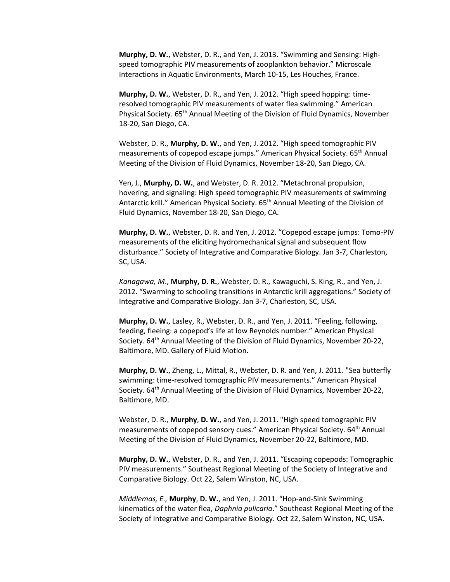**Murphy, D. W.**, Webster, D. R., and Yen, J. 2013. "Swimming and Sensing: Highspeed tomographic PIV measurements of zooplankton behavior." Microscale Interactions in Aquatic Environments, March 10-15, Les Houches, France.

**Murphy, D. W.**, Webster, D. R., and Yen, J. 2012. "High speed hopping: timeresolved tomographic PIV measurements of water flea swimming." American Physical Society. 65th Annual Meeting of the Division of Fluid Dynamics, November 18-20, San Diego, CA.

Webster, D. R., **Murphy, D. W.**, and Yen, J. 2012. "High speed tomographic PIV measurements of copepod escape jumps." American Physical Society. 65<sup>th</sup> Annual Meeting of the Division of Fluid Dynamics, November 18-20, San Diego, CA.

Yen, J., **Murphy, D. W.**, and Webster, D. R. 2012. "Metachronal propulsion, hovering, and signaling: High speed tomographic PIV measurements of swimming Antarctic krill." American Physical Society. 65<sup>th</sup> Annual Meeting of the Division of Fluid Dynamics, November 18-20, San Diego, CA.

**Murphy, D. W.**, Webster, D. R. and Yen, J. 2012. "Copepod escape jumps: Tomo-PIV measurements of the eliciting hydromechanical signal and subsequent flow disturbance." Society of Integrative and Comparative Biology. Jan 3-7, Charleston, SC, USA.

*Kanagawa, M*., **Murphy, D. R.**, Webster, D. R., Kawaguchi, S. King, R., and Yen, J. 2012. "Swarming to schooling transitions in Antarctic krill aggregations." Society of Integrative and Comparative Biology. Jan 3-7, Charleston, SC, USA.

**Murphy, D. W.**, Lasley, R., Webster, D. R., and Yen, J. 2011. "Feeling, following, feeding, fleeing: a copepod's life at low Reynolds number." American Physical Society. 64<sup>th</sup> Annual Meeting of the Division of Fluid Dynamics, November 20-22, Baltimore, MD. Gallery of Fluid Motion.

**Murphy, D. W.**, Zheng, L., Mittal, R., Webster, D. R. and Yen, J. 2011. "Sea butterfly swimming: time-resolved tomographic PIV measurements." American Physical Society. 64<sup>th</sup> Annual Meeting of the Division of Fluid Dynamics, November 20-22, Baltimore, MD.

Webster, D. R., **Murphy**, **D. W.**, and Yen, J. 2011. "High speed tomographic PIV measurements of copepod sensory cues." American Physical Society. 64<sup>th</sup> Annual Meeting of the Division of Fluid Dynamics, November 20-22, Baltimore, MD.

**Murphy, D. W.**, Webster, D. R., and Yen, J. 2011. "Escaping copepods: Tomographic PIV measurements." Southeast Regional Meeting of the Society of Integrative and Comparative Biology. Oct 22, Salem Winston, NC, USA.

*Middlemas, E.,* **Murphy**, **D. W.**, and Yen, J. 2011. "Hop-and-Sink Swimming kinematics of the water flea, *Daphnia pulicaria*." Southeast Regional Meeting of the Society of Integrative and Comparative Biology. Oct 22, Salem Winston, NC, USA.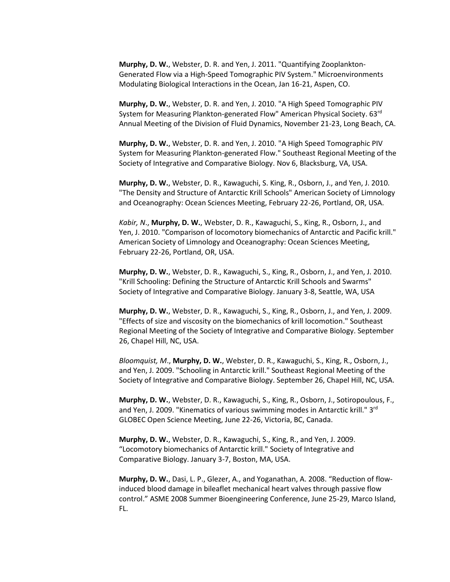**Murphy, D. W.**, Webster, D. R. and Yen, J. 2011. "Quantifying Zooplankton-Generated Flow via a High-Speed Tomographic PIV System." Microenvironments Modulating Biological Interactions in the Ocean, Jan 16-21, Aspen, CO.

**Murphy, D. W.**, Webster, D. R. and Yen, J. 2010. "A High Speed Tomographic PIV System for Measuring Plankton-generated Flow" American Physical Society. 63rd Annual Meeting of the Division of Fluid Dynamics, November 21-23, Long Beach, CA.

**Murphy, D. W.**, Webster, D. R. and Yen, J. 2010. "A High Speed Tomographic PIV System for Measuring Plankton-generated Flow." Southeast Regional Meeting of the Society of Integrative and Comparative Biology. Nov 6, Blacksburg, VA, USA.

**Murphy, D. W.**, Webster, D. R., Kawaguchi, S. King, R., Osborn, J., and Yen, J. 2010. "The Density and Structure of Antarctic Krill Schools" American Society of Limnology and Oceanography: Ocean Sciences Meeting, February 22-26, Portland, OR, USA.

*Kabir, N*., **Murphy, D. W.**, Webster, D. R., Kawaguchi, S., King, R., Osborn, J., and Yen, J. 2010. "Comparison of locomotory biomechanics of Antarctic and Pacific krill." American Society of Limnology and Oceanography: Ocean Sciences Meeting, February 22-26, Portland, OR, USA.

**Murphy, D. W.**, Webster, D. R., Kawaguchi, S., King, R., Osborn, J., and Yen, J. 2010. "Krill Schooling: Defining the Structure of Antarctic Krill Schools and Swarms" Society of Integrative and Comparative Biology. January 3-8, Seattle, WA, USA

**Murphy, D. W.**, Webster, D. R., Kawaguchi, S., King, R., Osborn, J., and Yen, J. 2009. "Effects of size and viscosity on the biomechanics of krill locomotion." Southeast Regional Meeting of the Society of Integrative and Comparative Biology. September 26, Chapel Hill, NC, USA.

*Bloomquist, M*., **Murphy, D. W.**, Webster, D. R., Kawaguchi, S., King, R., Osborn, J., and Yen, J. 2009. "Schooling in Antarctic krill." Southeast Regional Meeting of the Society of Integrative and Comparative Biology. September 26, Chapel Hill, NC, USA.

**Murphy, D. W.**, Webster, D. R., Kawaguchi, S., King, R., Osborn, J., Sotiropoulous, F., and Yen, J. 2009. "Kinematics of various swimming modes in Antarctic krill." 3<sup>rd</sup> GLOBEC Open Science Meeting, June 22-26, Victoria, BC, Canada.

**Murphy, D. W.**, Webster, D. R., Kawaguchi, S., King, R., and Yen, J. 2009. "Locomotory biomechanics of Antarctic krill." Society of Integrative and Comparative Biology. January 3-7, Boston, MA, USA.

**Murphy, D. W.**, Dasi, L. P., Glezer, A., and Yoganathan, A. 2008. "Reduction of flowinduced blood damage in bileaflet mechanical heart valves through passive flow control." ASME 2008 Summer Bioengineering Conference, June 25-29, Marco Island, FL.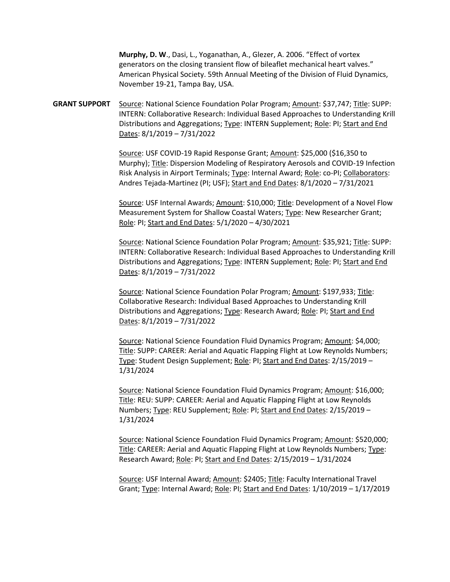**Murphy, D. W**., Dasi, L., Yoganathan, A., Glezer, A. 2006. "Effect of vortex generators on the closing transient flow of bileaflet mechanical heart valves." American Physical Society. 59th Annual Meeting of the Division of Fluid Dynamics, November 19-21, Tampa Bay, USA.

**GRANT SUPPORT** Source: National Science Foundation Polar Program; Amount: \$37,747; Title: SUPP: INTERN: Collaborative Research: Individual Based Approaches to Understanding Krill Distributions and Aggregations; Type: INTERN Supplement; Role: PI; Start and End Dates: 8/1/2019 – 7/31/2022

> Source: USF COVID-19 Rapid Response Grant; Amount: \$25,000 (\$16,350 to Murphy); Title: Dispersion Modeling of Respiratory Aerosols and COVID-19 Infection Risk Analysis in Airport Terminals; Type: Internal Award; Role: co-PI; Collaborators: Andres Tejada-Martinez (PI; USF); Start and End Dates: 8/1/2020 – 7/31/2021

> Source: USF Internal Awards; Amount: \$10,000; Title: Development of a Novel Flow Measurement System for Shallow Coastal Waters; Type: New Researcher Grant; Role: PI; Start and End Dates: 5/1/2020 – 4/30/2021

> Source: National Science Foundation Polar Program; Amount: \$35,921; Title: SUPP: INTERN: Collaborative Research: Individual Based Approaches to Understanding Krill Distributions and Aggregations; Type: INTERN Supplement; Role: PI; Start and End Dates: 8/1/2019 – 7/31/2022

Source: National Science Foundation Polar Program; Amount: \$197,933; Title: Collaborative Research: Individual Based Approaches to Understanding Krill Distributions and Aggregations; Type: Research Award; Role: PI; Start and End Dates: 8/1/2019 – 7/31/2022

Source: National Science Foundation Fluid Dynamics Program; Amount: \$4,000; Title: SUPP: CAREER: Aerial and Aquatic Flapping Flight at Low Reynolds Numbers; Type: Student Design Supplement; Role: PI; Start and End Dates: 2/15/2019 – 1/31/2024

Source: National Science Foundation Fluid Dynamics Program; Amount: \$16,000; Title: REU: SUPP: CAREER: Aerial and Aquatic Flapping Flight at Low Reynolds Numbers; Type: REU Supplement; Role: PI; Start and End Dates: 2/15/2019 – 1/31/2024

Source: National Science Foundation Fluid Dynamics Program; Amount: \$520,000; Title: CAREER: Aerial and Aquatic Flapping Flight at Low Reynolds Numbers; Type: Research Award; Role: PI; Start and End Dates: 2/15/2019 – 1/31/2024

Source: USF Internal Award; Amount: \$2405; Title: Faculty International Travel Grant; Type: Internal Award; Role: PI; Start and End Dates: 1/10/2019 - 1/17/2019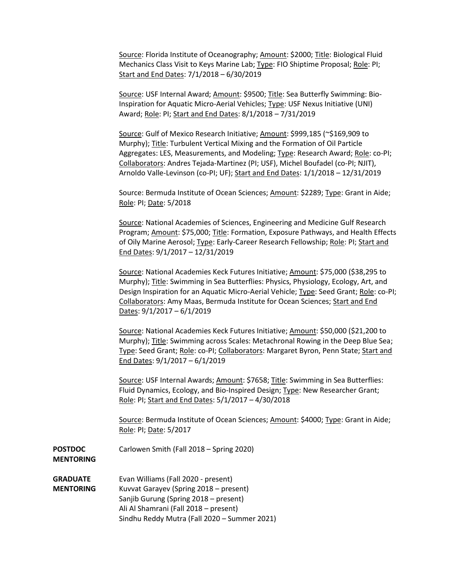Source: Florida Institute of Oceanography; Amount: \$2000; Title: Biological Fluid Mechanics Class Visit to Keys Marine Lab; Type: FIO Shiptime Proposal; Role: PI; Start and End Dates: 7/1/2018 – 6/30/2019

Source: USF Internal Award; Amount: \$9500; Title: Sea Butterfly Swimming: Bio-Inspiration for Aquatic Micro-Aerial Vehicles; Type: USF Nexus Initiative (UNI) Award; Role: PI; Start and End Dates: 8/1/2018 – 7/31/2019

Source: Gulf of Mexico Research Initiative; Amount: \$999,185 (~\$169,909 to Murphy); Title: Turbulent Vertical Mixing and the Formation of Oil Particle Aggregates: LES, Measurements, and Modeling; Type: Research Award; Role: co-PI; Collaborators: Andres Tejada-Martinez (PI; USF), Michel Boufadel (co-PI; NJIT), Arnoldo Valle-Levinson (co-PI; UF); Start and End Dates: 1/1/2018 – 12/31/2019

Source: Bermuda Institute of Ocean Sciences; Amount: \$2289; Type: Grant in Aide; Role: PI; Date: 5/2018

Source: National Academies of Sciences, Engineering and Medicine Gulf Research Program; Amount: \$75,000; Title: Formation, Exposure Pathways, and Health Effects of Oily Marine Aerosol; Type: Early-Career Research Fellowship; Role: PI; Start and End Dates: 9/1/2017 – 12/31/2019

Source: National Academies Keck Futures Initiative; Amount: \$75,000 (\$38,295 to Murphy); Title: Swimming in Sea Butterflies: Physics, Physiology, Ecology, Art, and Design Inspiration for an Aquatic Micro-Aerial Vehicle; Type: Seed Grant; Role: co-PI; Collaborators: Amy Maas, Bermuda Institute for Ocean Sciences; Start and End Dates: 9/1/2017 – 6/1/2019

Source: National Academies Keck Futures Initiative; Amount: \$50,000 (\$21,200 to Murphy); Title: Swimming across Scales: Metachronal Rowing in the Deep Blue Sea; Type: Seed Grant; Role: co-PI; Collaborators: Margaret Byron, Penn State; Start and End Dates: 9/1/2017 – 6/1/2019

Source: USF Internal Awards; Amount: \$7658; Title: Swimming in Sea Butterflies: Fluid Dynamics, Ecology, and Bio-Inspired Design; Type: New Researcher Grant; Role: PI; Start and End Dates: 5/1/2017 – 4/30/2018

Source: Bermuda Institute of Ocean Sciences; Amount: \$4000; Type: Grant in Aide; Role: PI; Date: 5/2017

**POSTDOC** Carlowen Smith (Fall 2018 – Spring 2020)

**MENTORING**

**GRADUATE** Evan Williams (Fall 2020 - present) **MENTORING** Kuvvat Garayev (Spring 2018 – present) Sanjib Gurung (Spring 2018 – present) Ali Al Shamrani (Fall 2018 – present) Sindhu Reddy Mutra (Fall 2020 – Summer 2021)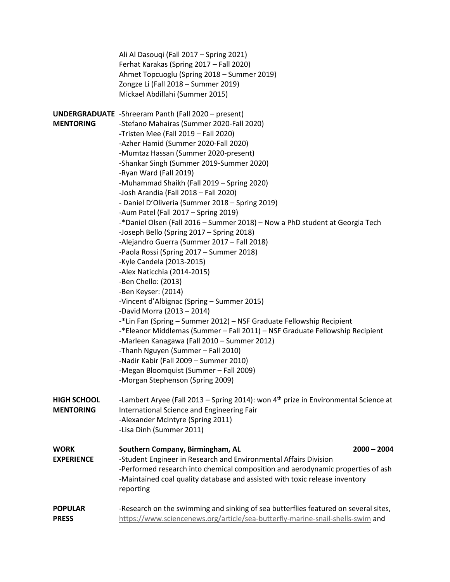|                                        | Ali Al Dasouqi (Fall 2017 - Spring 2021)<br>Ferhat Karakas (Spring 2017 - Fall 2020)<br>Ahmet Topcuoglu (Spring 2018 - Summer 2019)<br>Zongze Li (Fall 2018 - Summer 2019)<br>Mickael Abdillahi (Summer 2015)                                                                                                                                                                                                                                                                                                                                                                                                                                                                                                                                                                                                                                                                                                                                                                                                                                                                                                                                                                                                                                                              |
|----------------------------------------|----------------------------------------------------------------------------------------------------------------------------------------------------------------------------------------------------------------------------------------------------------------------------------------------------------------------------------------------------------------------------------------------------------------------------------------------------------------------------------------------------------------------------------------------------------------------------------------------------------------------------------------------------------------------------------------------------------------------------------------------------------------------------------------------------------------------------------------------------------------------------------------------------------------------------------------------------------------------------------------------------------------------------------------------------------------------------------------------------------------------------------------------------------------------------------------------------------------------------------------------------------------------------|
| <b>MENTORING</b>                       | <b>UNDERGRADUATE</b> -Shreeram Panth (Fall 2020 – present)<br>-Stefano Mahairas (Summer 2020-Fall 2020)<br>-Tristen Mee (Fall 2019 - Fall 2020)<br>-Azher Hamid (Summer 2020-Fall 2020)<br>-Mumtaz Hassan (Summer 2020-present)<br>-Shankar Singh (Summer 2019-Summer 2020)<br>-Ryan Ward (Fall 2019)<br>-Muhammad Shaikh (Fall 2019 - Spring 2020)<br>-Josh Arandia (Fall 2018 - Fall 2020)<br>- Daniel D'Oliveria (Summer 2018 - Spring 2019)<br>-Aum Patel (Fall 2017 - Spring 2019)<br>-*Daniel Olsen (Fall 2016 - Summer 2018) - Now a PhD student at Georgia Tech<br>-Joseph Bello (Spring 2017 - Spring 2018)<br>-Alejandro Guerra (Summer 2017 - Fall 2018)<br>-Paola Rossi (Spring 2017 - Summer 2018)<br>-Kyle Candela (2013-2015)<br>-Alex Naticchia (2014-2015)<br>-Ben Chello: (2013)<br>-Ben Keyser: (2014)<br>-Vincent d'Albignac (Spring - Summer 2015)<br>-David Morra (2013 - 2014)<br>-*Lin Fan (Spring - Summer 2012) - NSF Graduate Fellowship Recipient<br>-*Eleanor Middlemas (Summer - Fall 2011) - NSF Graduate Fellowship Recipient<br>-Marleen Kanagawa (Fall 2010 - Summer 2012)<br>-Thanh Nguyen (Summer - Fall 2010)<br>-Nadir Kabir (Fall 2009 - Summer 2010)<br>-Megan Bloomquist (Summer - Fall 2009)<br>-Morgan Stephenson (Spring 2009) |
| <b>HIGH SCHOOL</b><br><b>MENTORING</b> | -Lambert Aryee (Fall 2013 - Spring 2014): won 4 <sup>th</sup> prize in Environmental Science at<br>International Science and Engineering Fair<br>-Alexander McIntyre (Spring 2011)<br>-Lisa Dinh (Summer 2011)                                                                                                                                                                                                                                                                                                                                                                                                                                                                                                                                                                                                                                                                                                                                                                                                                                                                                                                                                                                                                                                             |
| <b>WORK</b><br><b>EXPERIENCE</b>       | Southern Company, Birmingham, AL<br>$2000 - 2004$<br>-Student Engineer in Research and Environmental Affairs Division<br>-Performed research into chemical composition and aerodynamic properties of ash<br>-Maintained coal quality database and assisted with toxic release inventory<br>reporting                                                                                                                                                                                                                                                                                                                                                                                                                                                                                                                                                                                                                                                                                                                                                                                                                                                                                                                                                                       |
| <b>POPULAR</b><br><b>PRESS</b>         | -Research on the swimming and sinking of sea butterflies featured on several sites,<br>https://www.sciencenews.org/article/sea-butterfly-marine-snail-shells-swim and                                                                                                                                                                                                                                                                                                                                                                                                                                                                                                                                                                                                                                                                                                                                                                                                                                                                                                                                                                                                                                                                                                      |